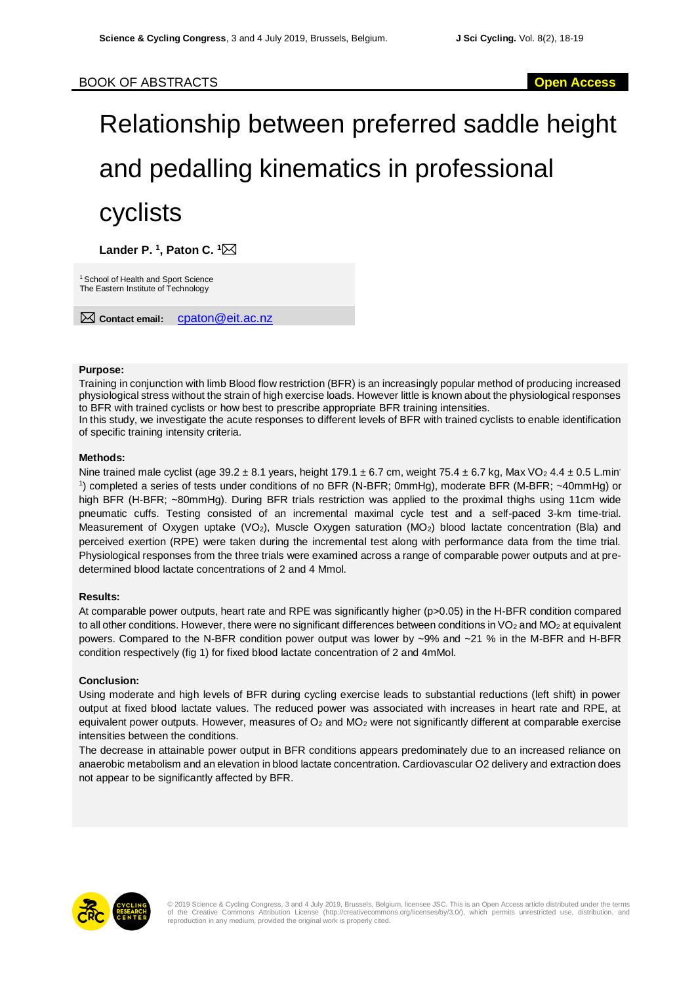# Relationship between preferred saddle height and pedalling kinematics in professional cyclists

**Lander P. 1 , Paton C. <sup>1</sup>**

<sup>1</sup> School of Health and Sport Science The Eastern Institute of Technology

**Contact email:** cpaton@eit.ac.nz

#### **Purpose:**

Training in conjunction with limb Blood flow restriction (BFR) is an increasingly popular method of producing increased physiological stress without the strain of high exercise loads. However little is known about the physiological responses to BFR with trained cyclists or how best to prescribe appropriate BFR training intensities.

In this study, we investigate the acute responses to different levels of BFR with trained cyclists to enable identification of specific training intensity criteria.

#### **Methods:**

Nine trained male cyclist (age  $39.2 \pm 8.1$  years, height 179.1  $\pm$  6.7 cm, weight 75.4  $\pm$  6.7 kg, Max VO<sub>2</sub> 4.4  $\pm$  0.5 L.min<sup>-</sup> 1 ) completed a series of tests under conditions of no BFR (N-BFR; 0mmHg), moderate BFR (M-BFR; ~40mmHg) or high BFR (H-BFR; ~80mmHg). During BFR trials restriction was applied to the proximal thighs using 11cm wide pneumatic cuffs. Testing consisted of an incremental maximal cycle test and a self-paced 3-km time-trial. Measurement of Oxygen uptake (VO<sub>2</sub>), Muscle Oxygen saturation (MO<sub>2</sub>) blood lactate concentration (Bla) and perceived exertion (RPE) were taken during the incremental test along with performance data from the time trial. Physiological responses from the three trials were examined across a range of comparable power outputs and at predetermined blood lactate concentrations of 2 and 4 Mmol.

## **Results:**

At comparable power outputs, heart rate and RPE was significantly higher (p>0.05) in the H-BFR condition compared to all other conditions. However, there were no significant differences between conditions in  $VO<sub>2</sub>$  and  $MO<sub>2</sub>$  at equivalent powers. Compared to the N-BFR condition power output was lower by ~9% and ~21 % in the M-BFR and H-BFR condition respectively (fig 1) for fixed blood lactate concentration of 2 and 4mMol.

## **Conclusion:**

Using moderate and high levels of BFR during cycling exercise leads to substantial reductions (left shift) in power output at fixed blood lactate values. The reduced power was associated with increases in heart rate and RPE, at equivalent power outputs. However, measures of O<sub>2</sub> and MO<sub>2</sub> were not significantly different at comparable exercise intensities between the conditions.

The decrease in attainable power output in BFR conditions appears predominately due to an increased reliance on anaerobic metabolism and an elevation in blood lactate concentration. Cardiovascular O2 delivery and extraction does not appear to be significantly affected by BFR.